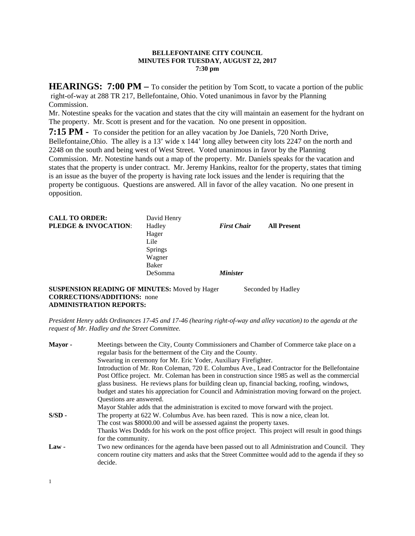### **BELLEFONTAINE CITY COUNCIL MINUTES FOR TUESDAY, AUGUST 22, 2017 7:30 pm**

**HEARINGS: 7:00 PM** – To consider the petition by Tom Scott, to vacate a portion of the public right-of-way at 288 TR 217, Bellefontaine, Ohio. Voted unanimous in favor by the Planning Commission.

Mr. Notestine speaks for the vacation and states that the city will maintain an easement for the hydrant on The property. Mr. Scott is present and for the vacation. No one present in opposition.

**7:15 PM -** To consider the petition for an alley vacation by Joe Daniels, 720 North Drive,

Bellefontaine,Ohio. The alley is a 13' wide x 144' long alley between city lots 2247 on the north and 2248 on the south and being west of West Street. Voted unanimous in favor by the Planning Commission. Mr. Notestine hands out a map of the property. Mr. Daniels speaks for the vacation and states that the property is under contract. Mr. Jeremy Hankins, realtor for the property, states that timing is an issue as the buyer of the property is having rate lock issues and the lender is requiring that the property be contiguous. Questions are answered. All in favor of the alley vacation. No one present in opposition.

| <b>CALL TO ORDER:</b><br><b>PLEDGE &amp; INVOCATION:</b> | David Henry<br>Hadley<br>Hager<br>Lile<br><b>Springs</b><br>Wagner | <b>First Chair</b>     | <b>All Present</b> |
|----------------------------------------------------------|--------------------------------------------------------------------|------------------------|--------------------|
|                                                          | Baker<br>DeSomma                                                   | <i><b>Minister</b></i> |                    |

**SUSPENSION READING OF MINUTES:** Moved by Hager Seconded by Hadley **CORRECTIONS/ADDITIONS:** none **ADMINISTRATION REPORTS:** 

*President Henry adds Ordinances 17-45 and 17-46 (hearing right-of-way and alley vacation) to the agenda at the request of Mr. Hadley and the Street Committee.* 

| Meetings between the City, County Commissioners and Chamber of Commerce take place on a<br>regular basis for the betterment of the City and the County.                                                         |
|-----------------------------------------------------------------------------------------------------------------------------------------------------------------------------------------------------------------|
| Swearing in ceremony for Mr. Eric Yoder, Auxiliary Firefighter.                                                                                                                                                 |
| Introduction of Mr. Ron Coleman, 720 E. Columbus Ave., Lead Contractor for the Bellefontaine                                                                                                                    |
| Post Office project. Mr. Coleman has been in construction since 1985 as well as the commercial                                                                                                                  |
| glass business. He reviews plans for building clean up, financial backing, roofing, windows,                                                                                                                    |
| budget and states his appreciation for Council and Administration moving forward on the project.                                                                                                                |
| Questions are answered.                                                                                                                                                                                         |
| Mayor Stahler adds that the administration is excited to move forward with the project.                                                                                                                         |
| The property at 622 W. Columbus Ave. has been razed. This is now a nice, clean lot.                                                                                                                             |
| The cost was \$8000.00 and will be assessed against the property taxes.                                                                                                                                         |
| Thanks Wes Dodds for his work on the post office project. This project will result in good things                                                                                                               |
| for the community.                                                                                                                                                                                              |
| Two new ordinances for the agenda have been passed out to all Administration and Council. They<br>concern routine city matters and asks that the Street Committee would add to the agenda if they so<br>decide. |
|                                                                                                                                                                                                                 |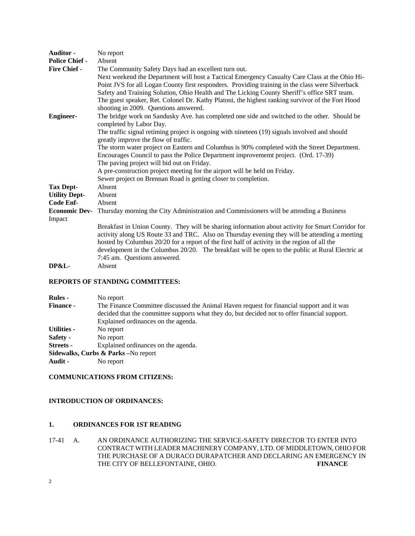| <b>Auditor -</b>      | No report                                                                                         |  |  |
|-----------------------|---------------------------------------------------------------------------------------------------|--|--|
| <b>Police Chief -</b> | Absent                                                                                            |  |  |
| Fire Chief -          | The Community Safety Days had an excellent turn out.                                              |  |  |
|                       | Next weekend the Department will host a Tactical Emergency Casualty Care Class at the Ohio Hi-    |  |  |
|                       | Point JVS for all Logan County first responders. Providing training in the class were Silverback  |  |  |
|                       | Safety and Training Solution, Ohio Health and The Licking County Sheriff's office SRT team.       |  |  |
|                       | The guest speaker, Ret. Colonel Dr. Kathy Platoni, the highest ranking survivor of the Fort Hood  |  |  |
|                       | shooting in 2009. Questions answered.                                                             |  |  |
| <b>Engineer-</b>      | The bridge work on Sandusky Ave. has completed one side and switched to the other. Should be      |  |  |
|                       | completed by Labor Day.                                                                           |  |  |
|                       | The traffic signal retiming project is ongoing with nineteen (19) signals involved and should     |  |  |
|                       | greatly improve the flow of traffic.                                                              |  |  |
|                       | The storm water project on Eastern and Columbus is 90% completed with the Street Department.      |  |  |
|                       | Encourages Council to pass the Police Department improvememt project. (Ord. 17-39)                |  |  |
|                       | The paving project will bid out on Friday.                                                        |  |  |
|                       | A pre-construction project meeting for the airport will be held on Friday.                        |  |  |
|                       | Sewer project on Brennan Road is getting closer to completion.                                    |  |  |
| <b>Tax Dept-</b>      | Absent                                                                                            |  |  |
| <b>Utility Dept-</b>  | Absent                                                                                            |  |  |
| Code Enf-             | Absent                                                                                            |  |  |
| <b>Economic Dev-</b>  | Thursday morning the City Administration and Commissioners will be attending a Business           |  |  |
| Impact                |                                                                                                   |  |  |
|                       | Breakfast in Union County. They will be sharing information about activity for Smart Corridor for |  |  |
|                       | activity along US Route 33 and TRC. Also on Thursday evening they will be attending a meeting     |  |  |
|                       | hosted by Columbus 20/20 for a report of the first half of activity in the region of all the      |  |  |
|                       | development in the Columbus 20/20. The breakfast will be open to the public at Rural Electric at  |  |  |
|                       | 7:45 am. Questions answered.                                                                      |  |  |
| <b>DP&amp;L-</b>      | Absent                                                                                            |  |  |

#### **REPORTS OF STANDING COMMITTEES:**

| <b>Rules</b> -   | No report                                                                                     |
|------------------|-----------------------------------------------------------------------------------------------|
| <b>Finance -</b> | The Finance Committee discussed the Animal Haven request for financial support and it was     |
|                  | decided that the committee supports what they do, but decided not to offer financial support. |
|                  | Explained ordinances on the agenda.                                                           |
| Utilities -      | No report                                                                                     |
| <b>Safety -</b>  | No report                                                                                     |
| Streets -        | Explained ordinances on the agenda.                                                           |
|                  | Sidewalks, Curbs & Parks - No report                                                          |
| Audit -          | No report                                                                                     |

## **COMMUNICATIONS FROM CITIZENS:**

#### **INTRODUCTION OF ORDINANCES:**

# **1. ORDINANCES FOR 1ST READING**

17-41 A. AN ORDINANCE AUTHORIZING THE SERVICE-SAFETY DIRECTOR TO ENTER INTO CONTRACT WITH LEADER MACHINERY COMPANY, LTD. OF MIDDLETOWN, OHIO FOR THE PURCHASE OF A DURACO DURAPATCHER AND DECLARING AN EMERGENCY IN THE CITY OF BELLEFONTAINE, OHIO. **FINANCE**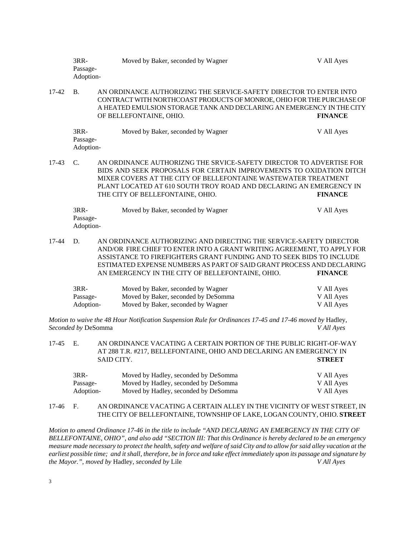|           | $3RR-$<br>Passage-<br>Adoption- | Moved by Baker, seconded by Wagner                                                                                                                                                                                                              | V All Ayes     |
|-----------|---------------------------------|-------------------------------------------------------------------------------------------------------------------------------------------------------------------------------------------------------------------------------------------------|----------------|
| $17 - 42$ | <b>B.</b>                       | AN ORDINANCE AUTHORIZING THE SERVICE-SAFETY DIRECTOR TO ENTER INTO<br>CONTRACT WITH NORTHCOAST PRODUCTS OF MONROE, OHIO FOR THE PURCHASE OF<br>A HEATED EMULSION STORAGE TANK AND DECLARING AN EMERGENCY IN THE CITY<br>OF BELLEFONTAINE, OHIO. | <b>FINANCE</b> |
|           | $3RR-$<br>Passage-<br>Adoption- | Moved by Baker, seconded by Wagner                                                                                                                                                                                                              | V All Ayes     |

17-43 C. AN ORDINANCE AUTHORIZNG THE SRVICE-SAFETY DIRECTOR TO ADVERTISE FOR BIDS AND SEEK PROPOSALS FOR CERTAIN IMPROVEMENTS TO OXIDATION DITCH MIXER COVERS AT THE CITY OF BELLEFONTAINE WASTEWATER TREATMENT PLANT LOCATED AT 610 SOUTH TROY ROAD AND DECLARING AN EMERGENCY IN THE CITY OF BELLEFONTAINE, OHIO. **FINANCE** 

| $3RR-$    | Moved by Baker, seconded by Wagner | V All Ayes |
|-----------|------------------------------------|------------|
| Passage-  |                                    |            |
| Adoption- |                                    |            |

17-44 D. AN ORDINANCE AUTHORIZING AND DIRECTING THE SERVICE-SAFETY DIRECTOR AND/OR FIRE CHIEF TO ENTER INTO A GRANT WRITING AGREEMENT, TO APPLY FOR ASSISTANCE TO FIREFIGHTERS GRANT FUNDING AND TO SEEK BIDS TO INCLUDE ESTIMATED EXPENSE NUMBERS AS PART OF SAID GRANT PROCESS AND DECLARING AN EMERGENCY IN THE CITY OF BELLEFONTAINE, OHIO. **FINANCE** 

| $3RR-$    | Moved by Baker, seconded by Wagner  | V All Ayes |
|-----------|-------------------------------------|------------|
| Passage-  | Moved by Baker, seconded by DeSomma | V All Ayes |
| Adoption- | Moved by Baker, seconded by Wagner  | V All Ayes |

*Motion to waive the 48 Hour Notification Suspension Rule for Ordinances 17-45 and 17-46 moved by Hadley, Seconded by* DeSomma *V All Ayes* 

17-45 E. AN ORDINANCE VACATING A CERTAIN PORTION OF THE PUBLIC RIGHT-OF-WAY AT 288 T.R. #217, BELLEFONTAINE, OHIO AND DECLARING AN EMERGENCY IN SAID CITY. **STREET** 

| $3RR-$    | Moved by Hadley, seconded by DeSomma | V All Ayes |
|-----------|--------------------------------------|------------|
| Passage-  | Moved by Hadley, seconded by DeSomma | V All Ayes |
| Adoption- | Moved by Hadley, seconded by DeSomma | V All Ayes |

### 17-46 F. AN ORDINANCE VACATING A CERTAIN ALLEY IN THE VICINITY OF WEST STREET, IN THE CITY OF BELLEFONTAINE, TOWNSHIP OF LAKE, LOGAN COUNTY, OHIO. **STREET**

*Motion to amend Ordinance 17-46 in the title to include "AND DECLARING AN EMERGENCY IN THE CITY OF BELLEFONTAINE, OHIO", and also add "SECTION III: That this Ordinance is hereby declared to be an emergency measure made necessary to protect the health, safety and welfare of said City and to allow for said alley vacation at the earliest possible time; and it shall, therefore, be in force and take effect immediately upon its passage and signature by the Mayor.", moved by* Hadley, *seconded by* Lile *V All Ayes*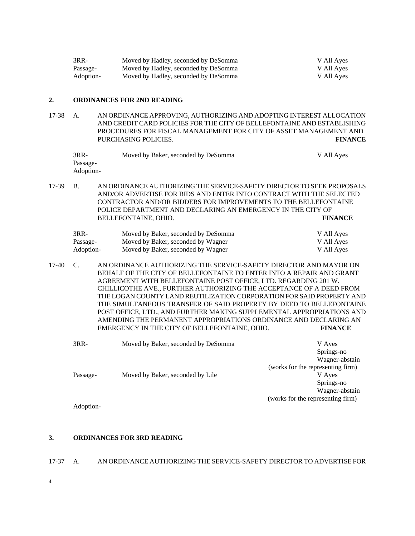| $3RR-$    | Moved by Hadley, seconded by DeSomma | V All Ayes |
|-----------|--------------------------------------|------------|
| Passage-  | Moved by Hadley, seconded by DeSomma | V All Ayes |
| Adoption- | Moved by Hadley, seconded by DeSomma | V All Ayes |

#### **2. ORDINANCES FOR 2ND READING**

17-38 A. AN ORDINANCE APPROVING, AUTHORIZING AND ADOPTING INTEREST ALLOCATION AND CREDIT CARD POLICIES FOR THE CITY OF BELLEFONTAINE AND ESTABLISHING PROCEDURES FOR FISCAL MANAGEMENT FOR CITY OF ASSET MANAGEMENT AND PURCHASING POLICIES. **FINANCE** 

| 3RR-      | Moved by Baker, seconded by DeSomma | V All Ayes |
|-----------|-------------------------------------|------------|
| Passage-  |                                     |            |
| Adoption- |                                     |            |

17-39 B. AN ORDINANCE AUTHORIZING THE SERVICE-SAFETY DIRECTOR TO SEEK PROPOSALS AND/OR ADVERTISE FOR BIDS AND ENTER INTO CONTRACT WITH THE SELECTED CONTRACTOR AND/OR BIDDERS FOR IMPROVEMENTS TO THE BELLEFONTAINE POLICE DEPARTMENT AND DECLARING AN EMERGENCY IN THE CITY OF BELLEFONTAINE, OHIO. **FINANCE** 

| $3RR-$    | Moved by Baker, seconded by DeSomma | V All Ayes |
|-----------|-------------------------------------|------------|
| Passage-  | Moved by Baker, seconded by Wagner  | V All Ayes |
| Adoption- | Moved by Baker, seconded by Wagner  | V All Ayes |

17-40 C. AN ORDINANCE AUTHORIZING THE SERVICE-SAFETY DIRECTOR AND MAYOR ON BEHALF OF THE CITY OF BELLEFONTAINE TO ENTER INTO A REPAIR AND GRANT AGREEMENT WITH BELLEFONTAINE POST OFFICE, LTD. REGARDING 201 W. CHILLICOTHE AVE., FURTHER AUTHORIZING THE ACCEPTANCE OF A DEED FROM THE LOGAN COUNTY LAND REUTILIZATION CORPORATION FOR SAID PROPERTY AND THE SIMULTANEOUS TRANSFER OF SAID PROPERTY BY DEED TO BELLEFONTAINE POST OFFICE, LTD., AND FURTHER MAKING SUPPLEMENTAL APPROPRIATIONS AND AMENDING THE PERMANENT APPROPRIATIONS ORDINANCE AND DECLARING AN EMERGENCY IN THE CITY OF BELLEFONTAINE, OHIO. **FINANCE** 

| $3RR-$    | Moved by Baker, seconded by DeSomma | V Ayes                            |
|-----------|-------------------------------------|-----------------------------------|
|           |                                     | Springs-no                        |
|           |                                     | Wagner-abstain                    |
|           |                                     | (works for the representing firm) |
| Passage-  | Moved by Baker, seconded by Lile    | V Ayes                            |
|           |                                     | Springs-no                        |
|           |                                     | Wagner-abstain                    |
|           |                                     | (works for the representing firm) |
| Adoption- |                                     |                                   |

# **3. ORDINANCES FOR 3RD READING**

- 17-37 A. AN ORDINANCE AUTHORIZING THE SERVICE-SAFETY DIRECTOR TO ADVERTISE FOR
- 4